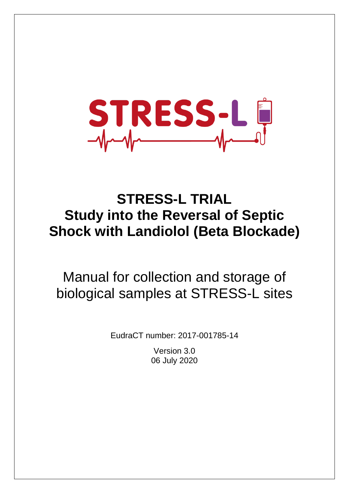

# **STRESS-L TRIAL Study into the Reversal of Septic Shock with Landiolol (Beta Blockade)**

Manual for collection and storage of biological samples at STRESS-L sites

EudraCT number: 2017-001785-14

Version 3.0 06 July 2020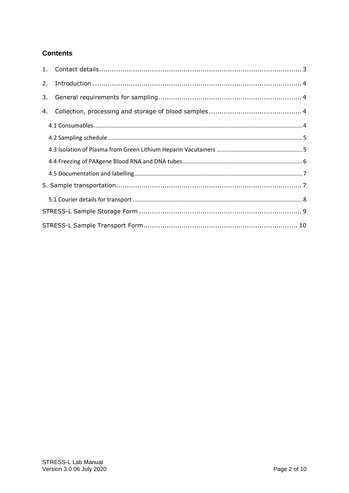## **Contents**

| 2. |  |
|----|--|
| 3. |  |
| 4. |  |
|    |  |
|    |  |
|    |  |
|    |  |
|    |  |
|    |  |
|    |  |
|    |  |
|    |  |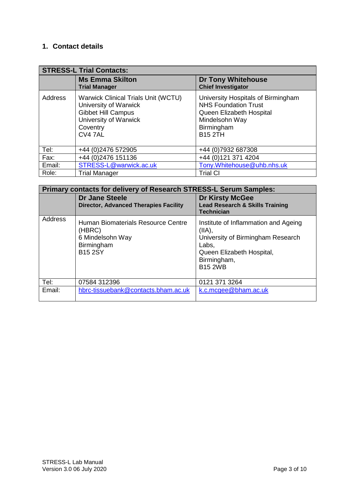# <span id="page-2-0"></span>**1. Contact details**

|         | <b>STRESS-L Trial Contacts:</b>                                                                                                                  |                                                                                                                                                 |  |  |  |  |  |  |  |
|---------|--------------------------------------------------------------------------------------------------------------------------------------------------|-------------------------------------------------------------------------------------------------------------------------------------------------|--|--|--|--|--|--|--|
|         | <b>Ms Emma Skilton</b><br><b>Trial Manager</b>                                                                                                   | <b>Dr Tony Whitehouse</b><br><b>Chief Investigator</b>                                                                                          |  |  |  |  |  |  |  |
| Address | <b>Warwick Clinical Trials Unit (WCTU)</b><br>University of Warwick<br><b>Gibbet Hill Campus</b><br>University of Warwick<br>Coventry<br>CV4 7AL | University Hospitals of Birmingham<br><b>NHS Foundation Trust</b><br>Queen Elizabeth Hospital<br>Mindelsohn Way<br>Birmingham<br><b>B15 2TH</b> |  |  |  |  |  |  |  |
| Tel:    | +44 (0)2476 572905                                                                                                                               | +44 (0) 7932 687308                                                                                                                             |  |  |  |  |  |  |  |
| Fax:    | +44 (0) 2476 151136                                                                                                                              | +44 (0)121 371 4204                                                                                                                             |  |  |  |  |  |  |  |
| Email:  | STRESS-L@warwick.ac.uk                                                                                                                           | Tony.Whitehouse@uhb.nhs.uk                                                                                                                      |  |  |  |  |  |  |  |
| Role:   | <b>Trial Manager</b>                                                                                                                             | <b>Trial CI</b>                                                                                                                                 |  |  |  |  |  |  |  |

|         | Primary contacts for delivery of Research STRESS-L Serum Samples:                                |                                                                                                                                                            |
|---------|--------------------------------------------------------------------------------------------------|------------------------------------------------------------------------------------------------------------------------------------------------------------|
|         | <b>Dr Jane Steele</b><br><b>Director, Advanced Therapies Facility</b>                            | <b>Dr Kirsty McGee</b><br><b>Lead Research &amp; Skills Training</b><br><b>Technician</b>                                                                  |
| Address | Human Biomaterials Resource Centre<br>(HBRC)<br>6 Mindelsohn Way<br>Birmingham<br><b>B15 2SY</b> | Institute of Inflammation and Ageing<br>(IIA),<br>University of Birmingham Research<br>Labs,<br>Queen Elizabeth Hospital,<br>Birmingham,<br><b>B15 2WB</b> |
| Tel:    | 07584 312396                                                                                     | 0121 371 3264                                                                                                                                              |
| Email:  | hbrc-tissuebank@contacts.bham.ac.uk                                                              | k.c.mcgee@bham.ac.uk                                                                                                                                       |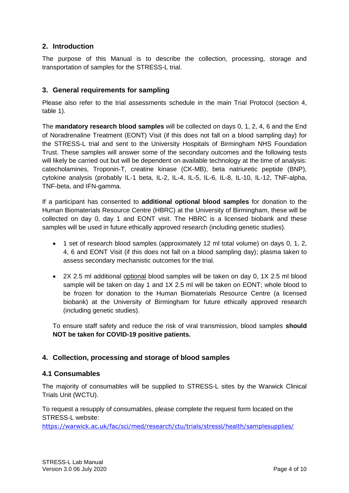## <span id="page-3-0"></span>**2. Introduction**

The purpose of this Manual is to describe the collection, processing, storage and transportation of samples for the STRESS-L trial.

#### <span id="page-3-1"></span>**3. General requirements for sampling**

Please also refer to the trial assessments schedule in the main Trial Protocol (section 4, table 1).

The **mandatory research blood samples** will be collected on days 0, 1, 2, 4, 6 and the End of Noradrenaline Treatment (EONT) Visit (if this does not fall on a blood sampling day) for the STRESS-L trial and sent to the University Hospitals of Birmingham NHS Foundation Trust. These samples will answer some of the secondary outcomes and the following tests will likely be carried out but will be dependent on available technology at the time of analysis: catecholamines, Troponin-T, creatine kinase (CK-MB), beta natriuretic peptide (BNP), cytokine analysis (probably IL-1 beta, IL-2, IL-4, IL-5, IL-6, IL-8, IL-10, IL-12, TNF-alpha, TNF-beta, and IFN-gamma.

If a participant has consented to **additional optional blood samples** for donation to the Human Biomaterials Resource Centre (HBRC) at the University of Birmingham, these will be collected on day 0, day 1 and EONT visit. The HBRC is a licensed biobank and these samples will be used in future ethically approved research (including genetic studies).

- 1 set of research blood samples (approximately 12 ml total volume) on days 0, 1, 2, 4, 6 and EONT Visit (if this does not fall on a blood sampling day); plasma taken to assess secondary mechanistic outcomes for the trial.
- 2X 2.5 ml additional optional blood samples will be taken on day 0, 1X 2.5 ml blood sample will be taken on day 1 and 1X 2.5 ml will be taken on EONT; whole blood to be frozen for donation to the Human Biomaterials Resource Centre (a licensed biobank) at the University of Birmingham for future ethically approved research (including genetic studies).

To ensure staff safety and reduce the risk of viral transmission, blood samples **should NOT be taken for COVID-19 positive patients.** 

#### <span id="page-3-2"></span>**4. Collection, processing and storage of blood samples**

#### <span id="page-3-3"></span>**4.1 Consumables**

The majority of consumables will be supplied to STRESS-L sites by the Warwick Clinical Trials Unit (WCTU).

To request a resupply of consumables, please complete the request form located on the STRESS-L website:

<https://warwick.ac.uk/fac/sci/med/research/ctu/trials/stressl/health/samplesupplies/>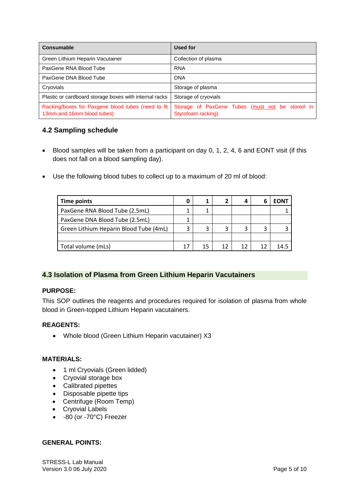| <b>Consumable</b>                                                                | Used for                                                              |
|----------------------------------------------------------------------------------|-----------------------------------------------------------------------|
| Green Lithium Heparin Vacutainer                                                 | Collection of plasma                                                  |
| PaxGene RNA Blood Tube                                                           | <b>RNA</b>                                                            |
| PaxGene DNA Blood Tube                                                           | <b>DNA</b>                                                            |
| Cryovials                                                                        | Storage of plasma                                                     |
| Plastic or cardboard storage boxes with internal racks                           | Storage of cryovials                                                  |
| Racking/boxes for Paxgene blood tubes (need to fit<br>13mm and 16mm blood tubes) | Storage of PaxGene Tubes (must not be stored in<br>Styrofoam racking) |

## <span id="page-4-0"></span>**4.2 Sampling schedule**

- Blood samples will be taken from a participant on day 0, 1, 2, 4, 6 and EONT visit (if this does not fall on a blood sampling day).
- Use the following blood tubes to collect up to a maximum of 20 ml of blood:

| Time points                            |  | 4  |    | FON1 |
|----------------------------------------|--|----|----|------|
| PaxGene RNA Blood Tube (2.5mL)         |  |    |    |      |
| PaxGene DNA Blood Tube (2.5mL)         |  |    |    |      |
| Green Lithium Heparin Blood Tube (4mL) |  | 3  |    |      |
|                                        |  |    |    |      |
| Total volume (mLs)                     |  | 12 | 12 |      |

#### <span id="page-4-1"></span>**4.3 Isolation of Plasma from Green Lithium Heparin Vacutainers**

#### **PURPOSE:**

This SOP outlines the reagents and procedures required for isolation of plasma from whole blood in Green-topped Lithium Heparin vacutainers.

#### **REAGENTS:**

Whole blood (Green Lithium Heparin vacutainer) X3

#### **MATERIALS:**

- 1 ml Cryovials (Green lidded)
- Cryovial storage box
- Calibrated pipettes
- Disposable pipette tips
- Centrifuge (Room Temp)
- Cryovial Labels
- -80 (or -70°C) Freezer

#### **GENERAL POINTS:**

STRESS-L Lab Manual Version 3.0 06 July 2020 **Page 5 of 10**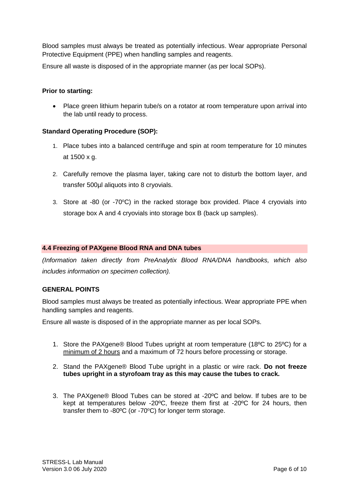Blood samples must always be treated as potentially infectious. Wear appropriate Personal Protective Equipment (PPE) when handling samples and reagents.

Ensure all waste is disposed of in the appropriate manner (as per local SOPs).

#### **Prior to starting:**

• Place green lithium heparin tube/s on a rotator at room temperature upon arrival into the lab until ready to process.

#### **Standard Operating Procedure (SOP):**

- 1. Place tubes into a balanced centrifuge and spin at room temperature for 10 minutes at 1500 x g.
- 2. Carefully remove the plasma layer, taking care not to disturb the bottom layer, and transfer 500µl aliquots into 8 cryovials.
- 3. Store at -80 (or -70 $\degree$ C) in the racked storage box provided. Place 4 cryovials into storage box A and 4 cryovials into storage box B (back up samples).

#### <span id="page-5-0"></span>**4.4 Freezing of PAXgene Blood RNA and DNA tubes**

*(Information taken directly from PreAnalytix Blood RNA/DNA handbooks, which also includes information on specimen collection).*

#### **GENERAL POINTS**

Blood samples must always be treated as potentially infectious. Wear appropriate PPE when handling samples and reagents.

Ensure all waste is disposed of in the appropriate manner as per local SOPs.

- 1. Store the PAXgene® Blood Tubes upright at room temperature (18ºC to 25ºC) for a minimum of 2 hours and a maximum of 72 hours before processing or storage.
- 2. Stand the PAXgene® Blood Tube upright in a plastic or wire rack. **Do not freeze tubes upright in a styrofoam tray as this may cause the tubes to crack.**
- 3. The PAXgene® Blood Tubes can be stored at -20ºC and below. If tubes are to be kept at temperatures below -20ºC, freeze them first at -20ºC for 24 hours, then transfer them to -80 $^{\circ}$ C (or -70 $^{\circ}$ C) for longer term storage.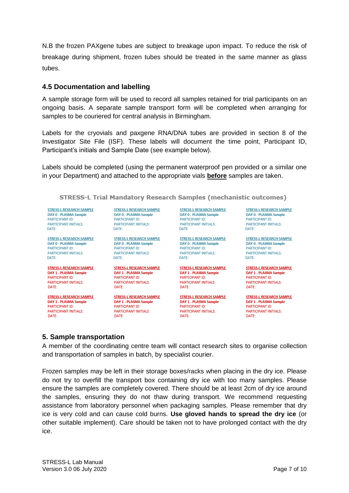N.B the frozen PAXgene tubes are subject to breakage upon impact. To reduce the risk of breakage during shipment, frozen tubes should be treated in the same manner as glass tubes.

#### <span id="page-6-0"></span>**4.5 Documentation and labelling**

A sample storage form will be used to record all samples retained for trial participants on an ongoing basis. A separate sample transport form will be completed when arranging for samples to be couriered for central analysis in Birmingham.

Labels for the cryovials and paxgene RNA/DNA tubes are provided in section 8 of the Investigator Site File (ISF). These labels will document the time point, Participant ID, Participant's initials and Sample Date (see example below).

Labels should be completed (using the permanent waterproof pen provided or a similar one in your Department) and attached to the appropriate vials **before** samples are taken.

**STRESS-L Trial Mandatory Research Samples (mechanistic outcomes)** 

**STRESS-L RESEARCH SAMPLE** DAY 0 - PLASMA Sample **PARTICIPANT ID:** PARTICIPANT INITIALS: DATE:

**STRESS-L RESEARCH SAMPLE DAY 0 - PLASMA Sample PARTICIPANT ID:** PARTICIPANT INITIALS: DATF:

**STRESS-L RESEARCH SAMPLE DAY 1 - PLASMA Sample** PARTICIPANT ID: PARTICIPANT INITIALS: DATE:

**STRESS-L RESEARCH SAMPLE** DAY 1 - PLASMA Sample **PARTICIPANT ID:** PARTICIPANT INITIALS: DATE:

**STRESS-L RESEARCH SAMPLE DAY 0 - PLASMA Sample PARTICIPANT ID: PARTICIPANT INITIALS:** DATE:

**STRESS-L RESEARCH SAMPLE DAY 0 - PLASMA Sample PARTICIPANT ID:** PARTICIPANT INITIALS: DATE:

> **STRESS-L RESEARCH SAMPLE DAY 1 - PLASMA Sample** PARTICIPANT ID: PARTICIPANT INITIALS: DATE:

**STRESS-L RESEARCH SAMPLE** STRESS-L'RESEARCH SAMPLE<br>DAY 1 - PLASMA Sample<br>PARTICIPANT ID: **PARTICIPANT ID:** PARTICIPANT INITIALS: DATE:

**STRESS-L RESEARCH SAMPLE DAY 0 - PLASMA Sample<br>PARTICIPANT ID:** PARTICIPANT INITIALS: DATE:

**STRESS-L RESEARCH SAMPLE**<br>DAY 0 - PLASMA Sample **PARTICIPANT ID:** PARTICIPANT INITIALS: DATE:

> **STRESS-L RESEARCH SAMPLE** DAY 1 - PLASMA Sample PARTICIPANT ID: PARTICIPANT INITIALS: DATE:

**STRESS-L RESEARCH SAMPLE** DAY 1 - PLASMA Sample **PARTICIPANT ID: PARTICIPANT INITIALS:** DATE:

**STRESS-L RESEARCH SAMPLE DAY 0 - PLASMA Sample PARTICIPANT ID: PARTICIPANT INITIALS:** DATE:

**STRESS-L RESEARCH SAMPLE** DAY 0 - PLASMA Sample **PARTICIPANT ID:** PARTICIPANT INITIALS: DATE:

**STRESS-L RESEARCH SAMPLE** DAY 1 - PLASMA Sample PARTICIPANT ID: PARTICIPANT INITIALS: DATE:

**STRESS-L RESEARCH SAMPLE** DAY 1 - PLASMA Sample **PARTICIPANT ID: PARTICIPANT INITIALS:** DATE:

#### <span id="page-6-1"></span>**5. Sample transportation**

A member of the coordinating centre team will contact research sites to organise collection and transportation of samples in batch, by specialist courier.

Frozen samples may be left in their storage boxes/racks when placing in the dry ice. Please do not try to overfill the transport box containing dry ice with too many samples. Please ensure the samples are completely covered. There should be at least 2cm of dry ice around the samples, ensuring they do not thaw during transport. We recommend requesting assistance from laboratory personnel when packaging samples. Please remember that dry ice is very cold and can cause cold burns. **Use gloved hands to spread the dry ice** (or other suitable implement). Care should be taken not to have prolonged contact with the dry ice.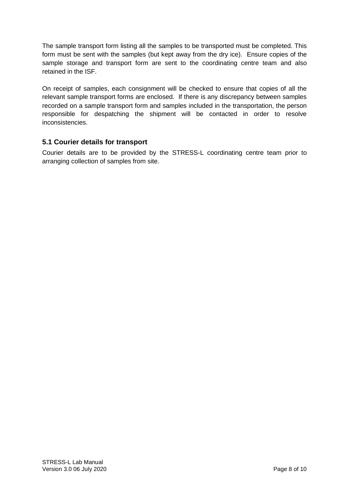The sample transport form listing all the samples to be transported must be completed. This form must be sent with the samples (but kept away from the dry ice). Ensure copies of the sample storage and transport form are sent to the coordinating centre team and also retained in the ISF.

On receipt of samples, each consignment will be checked to ensure that copies of all the relevant sample transport forms are enclosed. If there is any discrepancy between samples recorded on a sample transport form and samples included in the transportation, the person responsible for despatching the shipment will be contacted in order to resolve inconsistencies.

### <span id="page-7-0"></span>**5.1 Courier details for transport**

Courier details are to be provided by the STRESS-L coordinating centre team prior to arranging collection of samples from site.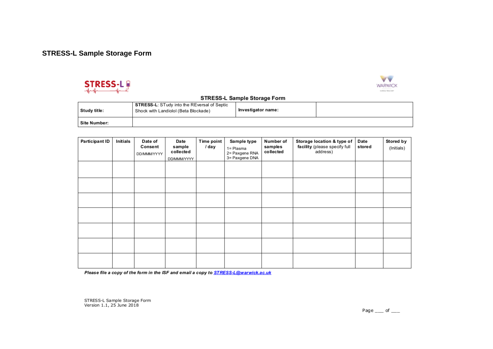# **STRESS-L Sample Storage Form**





#### **STRESS-L Sample Storage Form**

| Study title: | <b>STRESS-L:</b> STudy into the REversal of Septic<br>Shock with Landiolol (Beta Blockade) | Investigator name: |  |
|--------------|--------------------------------------------------------------------------------------------|--------------------|--|
| Site Number: |                                                                                            |                    |  |

<span id="page-8-0"></span>

| <b>Participant ID</b> | Initials | Date of<br>Consent<br>DD/MMM/YYYY | Date<br>sample<br>collected<br>DD/MMM/YYYY | <b>Time point</b><br>/ day | Sample type<br>1= Plasma<br>2= Paxgene RNA<br>3= Paxgene DNA | Number of<br>samples<br>collected | Storage location & type of<br>facility (please specify full<br>address) | Date<br>stored | Stored by<br>(Initials) |
|-----------------------|----------|-----------------------------------|--------------------------------------------|----------------------------|--------------------------------------------------------------|-----------------------------------|-------------------------------------------------------------------------|----------------|-------------------------|
|                       |          |                                   |                                            |                            |                                                              |                                   |                                                                         |                |                         |
|                       |          |                                   |                                            |                            |                                                              |                                   |                                                                         |                |                         |
|                       |          |                                   |                                            |                            |                                                              |                                   |                                                                         |                |                         |
|                       |          |                                   |                                            |                            |                                                              |                                   |                                                                         |                |                         |
|                       |          |                                   |                                            |                            |                                                              |                                   |                                                                         |                |                         |
|                       |          |                                   |                                            |                            |                                                              |                                   |                                                                         |                |                         |
|                       |          |                                   |                                            |                            |                                                              |                                   |                                                                         |                |                         |

Please file a copy of the form in the ISF and email a copy to **STRESS-L@warwick.ac.uk** 

STRESS-L Sample Storage Form<br>Version 1.1, 25 June 2018